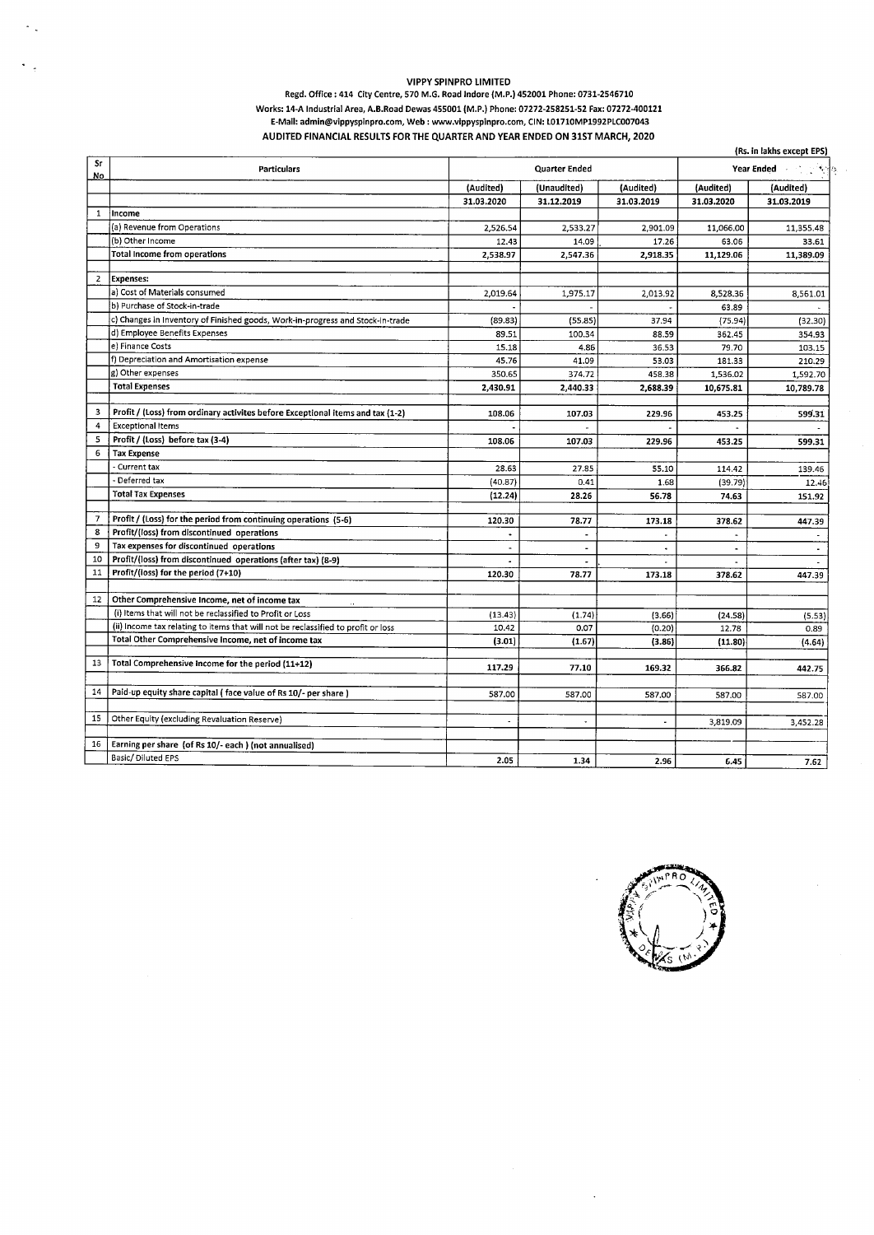## VIPPY SPINPRO LIMITED

 $\sim$ 

## Regd. Office: 414 City Centre, 570 M.G. Road Indore (M.P.) 452001 Phone: 0731-2546710 Works: 14-A Industrial Area, A.B.Road Dewas 455001 {M.P.) Phone: 07272-258251-52 Fax: 07272-400121 E-Mail: admin@vippyspinpro.com, Web: www.vippyspinpro.com, CIN: L01710MP1992PLC007043 AUDITED FINANCIAL RESULTS FOR THE QUARTER AND YEAR ENDED ON 31ST MARCH, 2020

|                     | (Rs. in lakhs except EPS)                                                         |                          |                          |                |                |                |
|---------------------|-----------------------------------------------------------------------------------|--------------------------|--------------------------|----------------|----------------|----------------|
| Sr<br>No.           | Particulars                                                                       | Quarter Ended            |                          |                | Year Ended     |                |
|                     |                                                                                   | (Audited)                | (Unaudited)              | (Audited)      | (Audited)      | (Audited)      |
|                     |                                                                                   | 31.03.2020               | 31.12.2019               | 31.03.2019     | 31.03.2020     | 31.03.2019     |
| $\mathbf{1}$        | ∤Income                                                                           |                          |                          |                |                |                |
|                     | (a) Revenue from Operations                                                       | 2,526.54                 | 2,533.27                 | 2,901.09       | 11,066.00      | 11,355.48      |
|                     | (b) Other Income                                                                  | 12.43                    | 14.09                    | 17.26          | 63.06          | 33.61          |
|                     | <b>Total Income from operations</b>                                               | 2,538.97                 | 2,547.36                 | 2,918.35       | 11,129.06      | 11,389.09      |
| $\overline{2}$      | <b>Expenses:</b>                                                                  |                          |                          |                |                |                |
|                     | a) Cost of Materials consumed                                                     | 2,019.64                 | 1,975.17                 | 2,013.92       | 8.528.36       | 8,561.01       |
|                     | b) Purchase of Stock-in-trade                                                     |                          |                          |                | 63.89          |                |
|                     | c) Changes in Inventory of Finished goods, Work-in-progress and Stock-in-trade    | (89.83)                  | (55.85)                  | 37.94          | (75.94)        | (32.30)        |
|                     | d) Employee Benefits Expenses                                                     | 89.51                    | 100.34                   | 88.59          | 362.45         | 354.93         |
|                     | e) Finance Costs                                                                  | 15.18                    | 4.86                     | 36.53          | 79.70          | 103.15         |
|                     | f) Depreciation and Amortisation expense                                          | 45.76                    | 41.09                    | 53.03          | 181.33         | 210.29         |
|                     | g) Other expenses                                                                 | 350.65                   | 374.72                   | 458.38         | 1,536.02       | 1,592.70       |
|                     | <b>Total Expenses</b>                                                             | 2,430.91                 | 2,440.33                 | 2,688.39       | 10,675.81      | 10,789.78      |
|                     |                                                                                   |                          |                          |                |                |                |
| 3<br>$\overline{4}$ | Profit / (Loss) from ordinary activites before Exceptional items and tax (1-2)    | 108.06                   | 107.03                   | 229.96         | 453.25         | 599.31         |
|                     | <b>Exceptional Items</b>                                                          |                          |                          |                |                |                |
| 5<br>6              | Profit / (Loss) before tax (3-4)                                                  | 108.06                   | 107.03                   | 229.96         | 453.25         | 599.31         |
|                     | <b>Tax Expense</b>                                                                |                          |                          |                |                |                |
|                     | - Current tax<br>- Deferred tax                                                   | 28.63                    | 27.85                    | 55.10          | 114.42         | 139.46         |
|                     |                                                                                   | (40.87)                  | 0.41                     | 1.68           | (39.79)        | 12.46          |
|                     | <b>Total Tax Expenses</b>                                                         | (12.24)                  | 28.26                    | 56.78          | 74.63          | 151.92         |
| 7                   | Profit / (Loss) for the period from continuing operations (5-6)                   | 120.30                   | 78.77                    | 173.18         | 378.62         | 447.39         |
| 8                   | Profit/(loss) from discontinued operations                                        |                          | $\blacksquare$           |                |                |                |
| 9                   | Tax expenses for discontinued operations                                          |                          | $\blacksquare$           | $\bullet$      | $\blacksquare$ | $\blacksquare$ |
| 10                  | Profit/(loss) from discontinued operations (after tax) (8-9)                      |                          | $\overline{\phantom{a}}$ | $\blacksquare$ | $\blacksquare$ |                |
| 11                  | Profit/(loss) for the period (7+10)                                               | 120.30                   | 78.77                    | 173.18         | 378.62         | 447.39         |
|                     |                                                                                   |                          |                          |                |                |                |
| 12                  | Other Comprehensive Income, net of income tax                                     |                          |                          |                |                |                |
|                     | (i) Items that will not be reclassified to Profit or Loss                         | (13.43)                  | (1.74)                   | (3.66)         | (24.58)        | (5.53)         |
|                     | (ii) Income tax relating to items that will not be reclassified to profit or loss | 10.42                    | 0.07                     | (0.20)         | 12.78          | 0.89           |
|                     | Total Other Comprehensive Income, net of income tax                               | (3.01)                   | (1.67)                   | (3.86)         | (11.80)        | (4.64)         |
| 13                  | Total Comprehensive Income for the period (11+12)                                 | 117.29                   |                          |                |                |                |
|                     |                                                                                   |                          | 77.10                    | 169.32         | 366.82         | 442.75         |
| 14                  | Paid-up equity share capital (face value of Rs 10/- per share)                    | 587.00                   | 587.00                   | 587.00         | 587.00         | 587.00         |
|                     |                                                                                   |                          |                          |                |                |                |
| 15                  | Other Equity (excluding Revaluation Reserve)                                      | $\overline{\phantom{a}}$ | $\bullet$                | $\overline{a}$ | 3,819.09       | 3,452.28       |
|                     |                                                                                   |                          |                          |                |                |                |
| 16                  | Earning per share (of Rs 10/- each) (not annualised)                              |                          |                          |                |                |                |
|                     | Basic/Diluted EPS                                                                 | 2.05                     | 1.34                     | 2.96           | 6.45           | 7.62           |



 $\ddot{\phantom{1}}$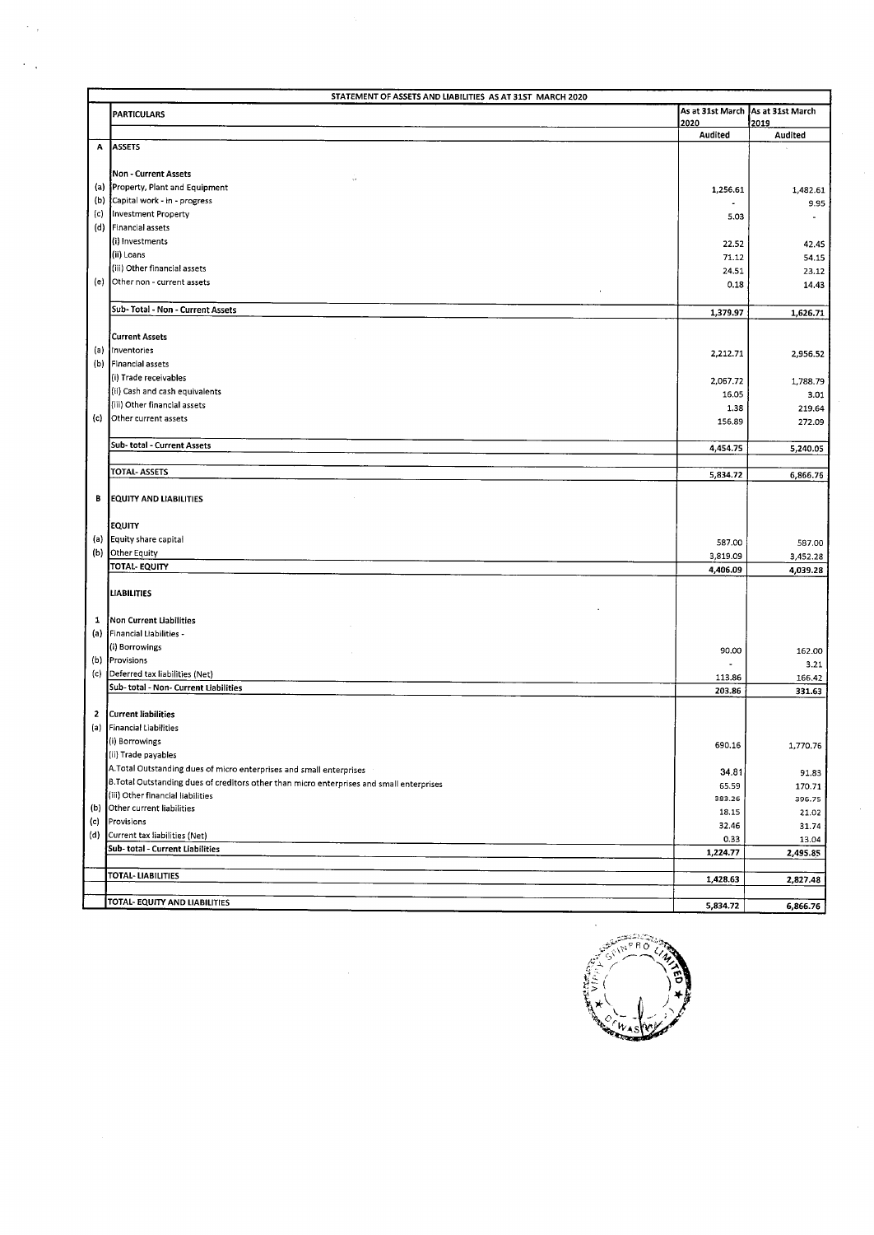| STATEMENT OF ASSETS AND LIABILITIES AS AT 31ST MARCH 2020 |                                                                                           |                 |                                   |  |
|-----------------------------------------------------------|-------------------------------------------------------------------------------------------|-----------------|-----------------------------------|--|
|                                                           | <b>PARTICULARS</b>                                                                        | 2020            | As at 31st March As at 31st March |  |
|                                                           |                                                                                           | Audited         | 2019<br>Audited                   |  |
| Α                                                         | <b>ASSETS</b>                                                                             |                 |                                   |  |
|                                                           |                                                                                           |                 |                                   |  |
|                                                           | Non - Current Assets<br>$\bar{\tau}$                                                      |                 |                                   |  |
|                                                           | (a) Property, Plant and Equipment                                                         | 1,256.61        | 1,482.61                          |  |
| (b)                                                       | Capital work - in - progress                                                              |                 | 9.95                              |  |
| (c)                                                       | Investment Property<br>Financial assets                                                   | 5.03            | $\sim$                            |  |
| (d)                                                       | (i) Investments                                                                           |                 |                                   |  |
|                                                           | (ii) Loans                                                                                | 22.52           | 42.45                             |  |
|                                                           | (iii) Other financial assets                                                              | 71.12<br>24.51  | 54.15<br>23.12                    |  |
|                                                           | (e) Other non - current assets                                                            | 0.18            | 14.43                             |  |
|                                                           |                                                                                           |                 |                                   |  |
|                                                           | Sub-Total - Non - Current Assets                                                          | 1,379.97        | 1,626.71                          |  |
|                                                           |                                                                                           |                 |                                   |  |
|                                                           | <b>Current Assets</b>                                                                     |                 |                                   |  |
| (a)                                                       | Inventories                                                                               | 2,212.71        | 2,956.52                          |  |
| (b)                                                       | Financial assets                                                                          |                 |                                   |  |
|                                                           | (i) Trade receivables                                                                     | 2,067.72        | 1,788.79                          |  |
|                                                           | (ii) Cash and cash equivalents                                                            | 16.05           | 3.01                              |  |
| (c)                                                       | (iii) Other financial assets<br>Other current assets                                      | 1.38            | 219.64                            |  |
|                                                           |                                                                                           | 156.89          | 272.09                            |  |
|                                                           | Sub-total - Current Assets                                                                |                 |                                   |  |
|                                                           |                                                                                           | 4,454.75        | 5,240.05                          |  |
|                                                           | TOTAL- ASSETS                                                                             | 5,834.72        | 6,866.76                          |  |
|                                                           |                                                                                           |                 |                                   |  |
| в                                                         | <b>EQUITY AND LIABILITIES</b>                                                             |                 |                                   |  |
|                                                           |                                                                                           |                 |                                   |  |
|                                                           | <b>EQUITY</b>                                                                             |                 |                                   |  |
|                                                           | (a) Equity share capital                                                                  | 587.00          | 587.00                            |  |
|                                                           | (b) Other Equity                                                                          | 3,819.09        | 3,452.28                          |  |
|                                                           | TOTAL-EQUITY                                                                              | 4,406.09        | 4,039.28                          |  |
|                                                           | LIABILITIES                                                                               |                 |                                   |  |
|                                                           |                                                                                           |                 |                                   |  |
| 1                                                         | Non Current Liabilities                                                                   |                 |                                   |  |
|                                                           | (a) Financial Liabilities -                                                               |                 |                                   |  |
|                                                           | (i) Borrowings                                                                            | 90.00           | 162.00                            |  |
|                                                           | (b) Provisions                                                                            |                 | 3.21                              |  |
|                                                           | (c) Deferred tax liabilities (Net)                                                        | 113.86          | 166.42                            |  |
|                                                           | Sub-total - Non- Current Liabilities                                                      | 203.86          | 331.63                            |  |
|                                                           |                                                                                           |                 |                                   |  |
| $\mathbf{2}$                                              | Current liabilities                                                                       |                 |                                   |  |
|                                                           | (a) Financial Liabilities<br>(i) Borrowings                                               |                 |                                   |  |
|                                                           | (ii) Trade payables                                                                       | 690.16          | 1,770.76                          |  |
|                                                           | A. Total Outstanding dues of micro enterprises and small enterprises                      |                 |                                   |  |
|                                                           | B. Total Outstanding dues of creditors other than micro enterprises and small enterprises | 34.81           | 91.83                             |  |
|                                                           | (iii) Other financial liabilities                                                         | 65.59<br>383.26 | 170.71<br>396.75                  |  |
| (b)                                                       | Other current liabilities                                                                 | 18.15           | 21.02                             |  |
| (c)                                                       | Provisions                                                                                | 32.46           | 31.74                             |  |
| (d)                                                       | Current tax liabilities (Net)                                                             | 0.33            | 13.04                             |  |
|                                                           | Sub- total - Current Liabilities                                                          | 1,224.77        | 2,495.85                          |  |
|                                                           |                                                                                           |                 |                                   |  |
|                                                           | <b>TOTAL-LIABILITIES</b>                                                                  | 1,428.63        | 2,827.48                          |  |
|                                                           | TOTAL- EQUITY AND LIABILITIES                                                             |                 |                                   |  |
|                                                           |                                                                                           | 5,834.72        | 6,866.76                          |  |

 $\bar{z}$ 

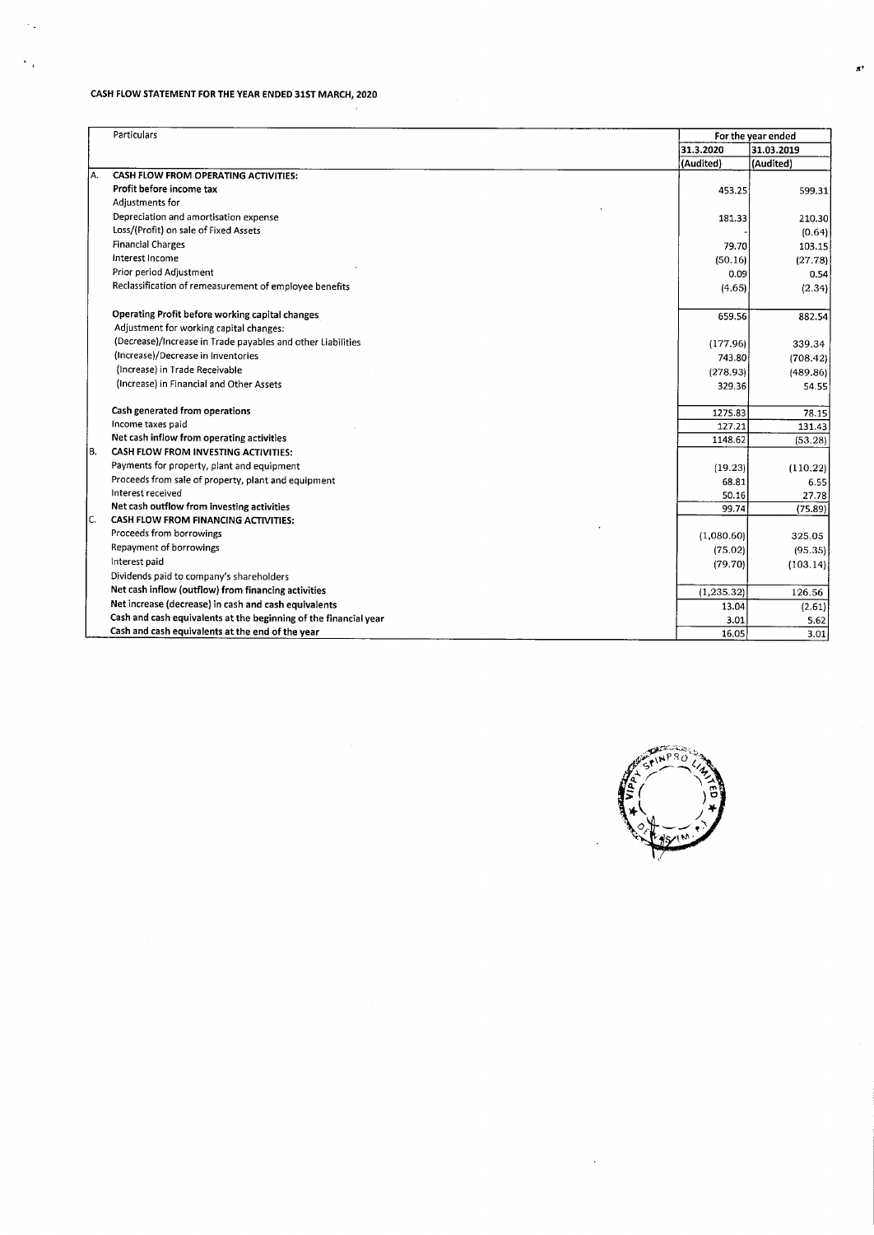## CASH FLOW STATEMENT FOR THE YEAR ENDED 31ST MARCH, 2020

 $\mathbb{Z}_2$ 

 $\ddot{\phantom{0}}$ 

|     | Particulars                                                      | For the year ended |            |
|-----|------------------------------------------------------------------|--------------------|------------|
|     |                                                                  | 31.3.2020          | 31.03.2019 |
|     |                                                                  | (Audited)          | (Audited)  |
| la. | CASH FLOW FROM OPERATING ACTIVITIES:                             |                    |            |
|     | Profit before income tax                                         | 453.25             | 599.31     |
|     | Adjustments for                                                  |                    |            |
|     | Depreciation and amortisation expense                            | 181.33             | 210.30     |
|     | Loss/(Profit) on sale of Fixed Assets                            |                    | (0.64)     |
|     | <b>Financial Charges</b>                                         | 79.70              | 103.15     |
|     | Interest Income                                                  | (50.16)            | (27.78)    |
|     | Prior period Adjustment                                          | 0.09               | 0.54       |
|     | Reclassification of remeasurement of employee benefits           | (4.65)             | (2.34)     |
|     |                                                                  |                    |            |
|     | Operating Profit before working capital changes                  | 659.56             | 882.54     |
|     | Adjustment for working capital changes:                          |                    |            |
|     | (Decrease)/Increase in Trade payables and other Liabilities      | (177.96)           | 339.34     |
|     | (Increase)/Decrease in Inventories                               | 743.80             | (708.42)   |
|     | (Increase) in Trade Receivable                                   | (278.93)           | (489.86)   |
|     | (Increase) in Financial and Other Assets                         | 329.36             | 54.55      |
|     |                                                                  |                    |            |
|     | Cash generated from operations                                   | 1275.83            | 78.15      |
|     | Income taxes paid                                                | 127.21             | 131.43     |
|     | Net cash inflow from operating activities                        | 1148.62            | (53.28)    |
| IB. | CASH FLOW FROM INVESTING ACTIVITIES:                             |                    |            |
|     | Payments for property, plant and equipment                       | (19.23)            | (110.22)   |
|     | Proceeds from sale of property, plant and equipment              | 68.81              | 6.55       |
|     | Interest received                                                | 50.16              | 27.78      |
|     | Net cash outflow from investing activities                       | 99.74              | (75.89)    |
| lc. | <b>CASH FLOW FROM FINANCING ACTIVITIES:</b>                      |                    |            |
|     | Proceeds from borrowings                                         | (1,080.60)         | 325.05     |
|     | Repayment of borrowings                                          | (75.02)            | (95.35)    |
|     | Interest paid                                                    | (79.70)            | (103.14)   |
|     | Dividends paid to company's shareholders                         |                    |            |
|     | Net cash inflow (outflow) from financing activities              | (1, 235.32)        | 126.56     |
|     | Net increase (decrease) in cash and cash equivalents             | 13.04              | (2.61)     |
|     | Cash and cash equivalents at the beginning of the financial year | 3.01               | 5.62       |
|     | Cash and cash equivalents at the end of the year                 | 16.05              | 3.01       |



 $\ddot{\phantom{a}}$